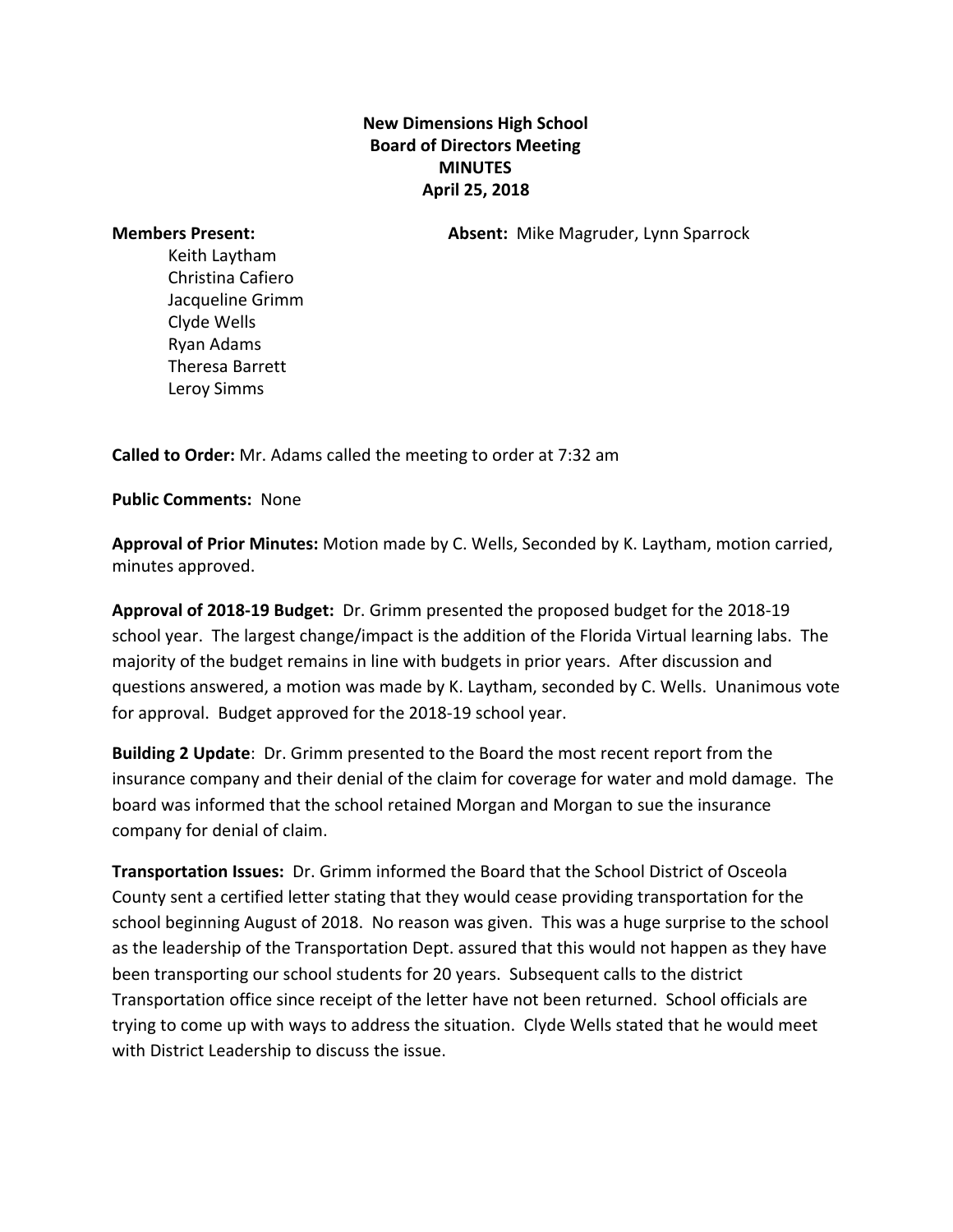## **New Dimensions High School Board of Directors Meeting MINUTES April 25, 2018**

**Members Present: Absent:** Mike Magruder, Lynn Sparrock

Keith Laytham Christina Cafiero Jacqueline Grimm Clyde Wells Ryan Adams Theresa Barrett Leroy Simms

**Called to Order:** Mr. Adams called the meeting to order at 7:32 am

**Public Comments:** None

**Approval of Prior Minutes:** Motion made by C. Wells, Seconded by K. Laytham, motion carried, minutes approved.

**Approval of 2018-19 Budget:** Dr. Grimm presented the proposed budget for the 2018-19 school year. The largest change/impact is the addition of the Florida Virtual learning labs. The majority of the budget remains in line with budgets in prior years. After discussion and questions answered, a motion was made by K. Laytham, seconded by C. Wells. Unanimous vote for approval. Budget approved for the 2018-19 school year.

**Building 2 Update**: Dr. Grimm presented to the Board the most recent report from the insurance company and their denial of the claim for coverage for water and mold damage. The board was informed that the school retained Morgan and Morgan to sue the insurance company for denial of claim.

**Transportation Issues:**  Dr. Grimm informed the Board that the School District of Osceola County sent a certified letter stating that they would cease providing transportation for the school beginning August of 2018. No reason was given. This was a huge surprise to the school as the leadership of the Transportation Dept. assured that this would not happen as they have been transporting our school students for 20 years. Subsequent calls to the district Transportation office since receipt of the letter have not been returned. School officials are trying to come up with ways to address the situation. Clyde Wells stated that he would meet with District Leadership to discuss the issue.